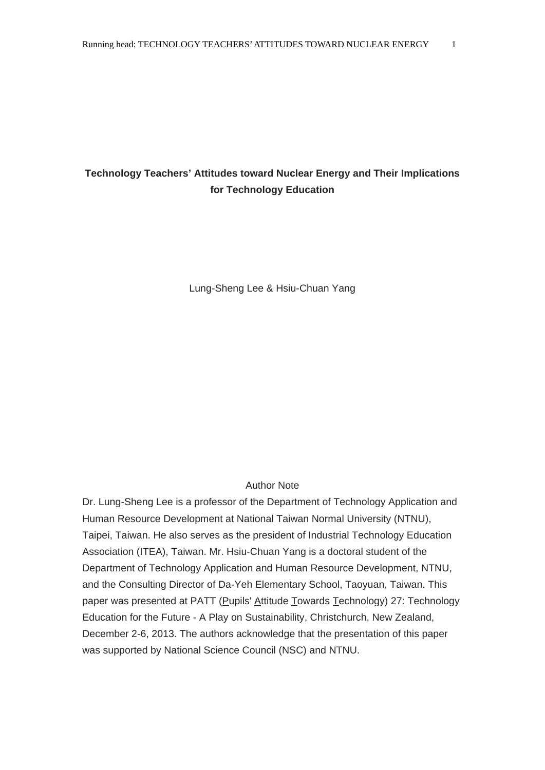# **Technology Teachers' Attitudes toward Nuclear Energy and Their Implications for Technology Education**

Lung-Sheng Lee & Hsiu-Chuan Yang

## Author Note

Dr. Lung-Sheng Lee is a professor of the Department of Technology Application and Human Resource Development at National Taiwan Normal University (NTNU), Taipei, Taiwan. He also serves as the president of Industrial Technology Education Association (ITEA), Taiwan. Mr. Hsiu-Chuan Yang is a doctoral student of the Department of Technology Application and Human Resource Development, NTNU, and the Consulting Director of Da-Yeh Elementary School, Taoyuan, Taiwan. This paper was presented at PATT (Pupils' Attitude Towards Technology) 27: Technology Education for the Future - A Play on Sustainability, Christchurch, New Zealand, December 2-6, 2013. The authors acknowledge that the presentation of this paper was supported by National Science Council (NSC) and NTNU.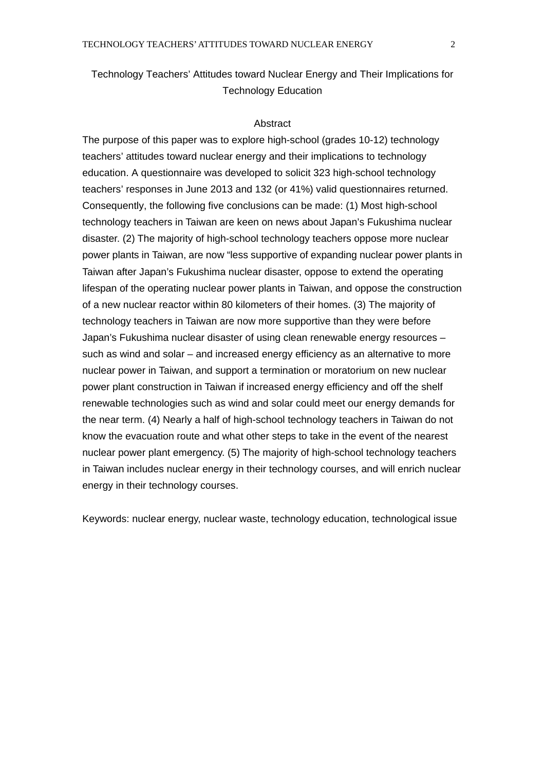# Technology Teachers' Attitudes toward Nuclear Energy and Their Implications for Technology Education

#### **Abstract**

The purpose of this paper was to explore high-school (grades 10-12) technology teachers' attitudes toward nuclear energy and their implications to technology education. A questionnaire was developed to solicit 323 high-school technology teachers' responses in June 2013 and 132 (or 41%) valid questionnaires returned. Consequently, the following five conclusions can be made: (1) Most high-school technology teachers in Taiwan are keen on news about Japan's Fukushima nuclear disaster. (2) The majority of high-school technology teachers oppose more nuclear power plants in Taiwan, are now "less supportive of expanding nuclear power plants in Taiwan after Japan's Fukushima nuclear disaster, oppose to extend the operating lifespan of the operating nuclear power plants in Taiwan, and oppose the construction of a new nuclear reactor within 80 kilometers of their homes. (3) The majority of technology teachers in Taiwan are now more supportive than they were before Japan's Fukushima nuclear disaster of using clean renewable energy resources – such as wind and solar – and increased energy efficiency as an alternative to more nuclear power in Taiwan, and support a termination or moratorium on new nuclear power plant construction in Taiwan if increased energy efficiency and off the shelf renewable technologies such as wind and solar could meet our energy demands for the near term. (4) Nearly a half of high-school technology teachers in Taiwan do not know the evacuation route and what other steps to take in the event of the nearest nuclear power plant emergency. (5) The majority of high-school technology teachers in Taiwan includes nuclear energy in their technology courses, and will enrich nuclear energy in their technology courses.

Keywords: nuclear energy, nuclear waste, technology education, technological issue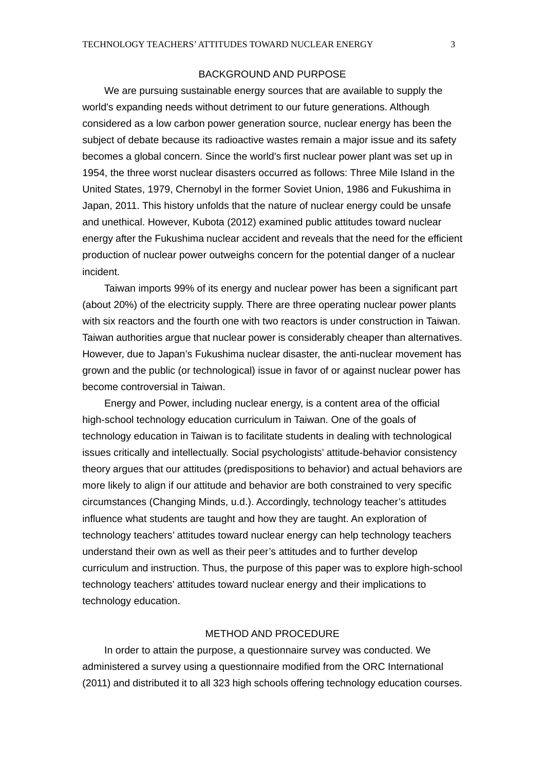### BACKGROUND AND PURPOSE

We are pursuing sustainable energy sources that are available to supply the world's expanding needs without detriment to our future generations. Although considered as a low carbon power generation source, nuclear energy has been the subject of debate because its radioactive wastes remain a major issue and its safety becomes a global concern. Since the world's first nuclear power plant was set up in 1954, the three worst nuclear disasters occurred as follows: Three Mile Island in the United States, 1979, Chernobyl in the former Soviet Union, 1986 and Fukushima in Japan, 2011. This history unfolds that the nature of nuclear energy could be unsafe and unethical. However, Kubota (2012) examined public attitudes toward nuclear energy after the Fukushima nuclear accident and reveals that the need for the efficient production of nuclear power outweighs concern for the potential danger of a nuclear incident.

Taiwan imports 99% of its energy and nuclear power has been a significant part (about 20%) of the electricity supply. There are three operating nuclear power plants with six reactors and the fourth one with two reactors is under construction in Taiwan. Taiwan authorities argue that nuclear power is considerably cheaper than alternatives. However, due to Japan's Fukushima nuclear disaster, the anti-nuclear movement has grown and the public (or technological) issue in favor of or against nuclear power has become controversial in Taiwan.

Energy and Power, including nuclear energy, is a content area of the official high-school technology education curriculum in Taiwan. One of the goals of technology education in Taiwan is to facilitate students in dealing with technological issues critically and intellectually. Social psychologists' attitude-behavior consistency theory argues that our attitudes (predispositions to behavior) and actual behaviors are more likely to align if our attitude and behavior are both constrained to very specific circumstances (Changing Minds, u.d.). Accordingly, technology teacher's attitudes influence what students are taught and how they are taught. An exploration of technology teachers' attitudes toward nuclear energy can help technology teachers understand their own as well as their peer's attitudes and to further develop curriculum and instruction. Thus, the purpose of this paper was to explore high-school technology teachers' attitudes toward nuclear energy and their implications to technology education.

#### METHOD AND PROCEDURE

 In order to attain the purpose, a questionnaire survey was conducted. We administered a survey using a questionnaire modified from the ORC International (2011) and distributed it to all 323 high schools offering technology education courses.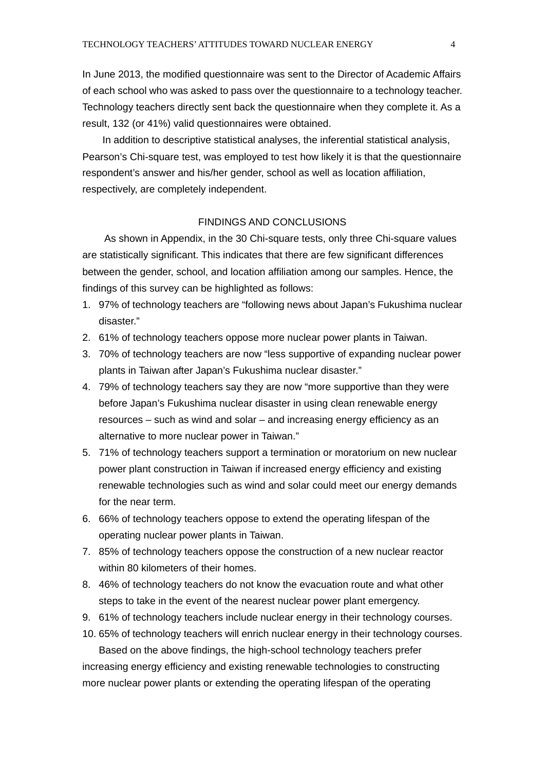In June 2013, the modified questionnaire was sent to the Director of Academic Affairs of each school who was asked to pass over the questionnaire to a technology teacher. Technology teachers directly sent back the questionnaire when they complete it. As a result, 132 (or 41%) valid questionnaires were obtained.

 In addition to descriptive statistical analyses, the inferential statistical analysis, Pearson's Chi-square test, was employed to test how likely it is that the questionnaire respondent's answer and his/her gender, school as well as location affiliation, respectively, are completely independent.

### FINDINGS AND CONCLUSIONS

 As shown in Appendix, in the 30 Chi-square tests, only three Chi-square values are statistically significant. This indicates that there are few significant differences between the gender, school, and location affiliation among our samples. Hence, the findings of this survey can be highlighted as follows:

- 1. 97% of technology teachers are "following news about Japan's Fukushima nuclear disaster."
- 2. 61% of technology teachers oppose more nuclear power plants in Taiwan.
- 3. 70% of technology teachers are now "less supportive of expanding nuclear power plants in Taiwan after Japan's Fukushima nuclear disaster."
- 4. 79% of technology teachers say they are now "more supportive than they were before Japan's Fukushima nuclear disaster in using clean renewable energy resources – such as wind and solar – and increasing energy efficiency as an alternative to more nuclear power in Taiwan."
- 5. 71% of technology teachers support a termination or moratorium on new nuclear power plant construction in Taiwan if increased energy efficiency and existing renewable technologies such as wind and solar could meet our energy demands for the near term.
- 6. 66% of technology teachers oppose to extend the operating lifespan of the operating nuclear power plants in Taiwan.
- 7. 85% of technology teachers oppose the construction of a new nuclear reactor within 80 kilometers of their homes.
- 8. 46% of technology teachers do not know the evacuation route and what other steps to take in the event of the nearest nuclear power plant emergency.
- 9. 61% of technology teachers include nuclear energy in their technology courses.
- 10. 65% of technology teachers will enrich nuclear energy in their technology courses. Based on the above findings, the high-school technology teachers prefer increasing energy efficiency and existing renewable technologies to constructing more nuclear power plants or extending the operating lifespan of the operating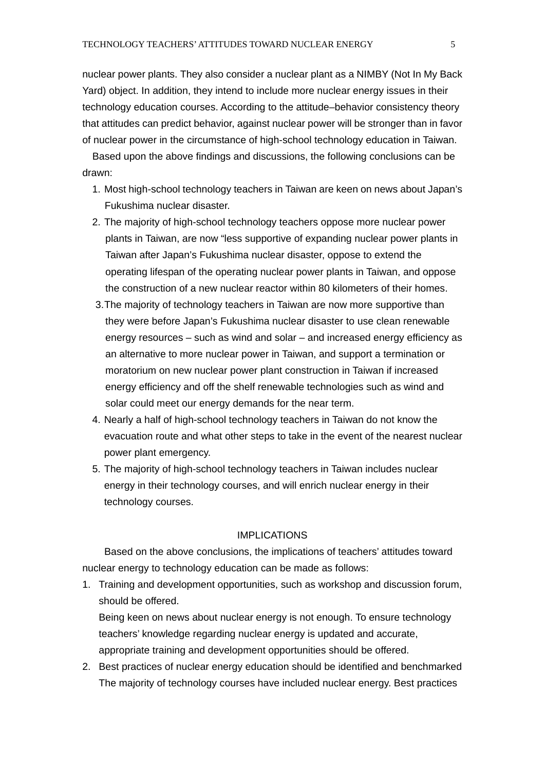nuclear power plants. They also consider a nuclear plant as a NIMBY (Not In My Back Yard) object. In addition, they intend to include more nuclear energy issues in their technology education courses. According to the attitude–behavior consistency theory that attitudes can predict behavior, against nuclear power will be stronger than in favor of nuclear power in the circumstance of high-school technology education in Taiwan.

Based upon the above findings and discussions, the following conclusions can be drawn:

- 1. Most high-school technology teachers in Taiwan are keen on news about Japan's Fukushima nuclear disaster.
- 2. The majority of high-school technology teachers oppose more nuclear power plants in Taiwan, are now "less supportive of expanding nuclear power plants in Taiwan after Japan's Fukushima nuclear disaster, oppose to extend the operating lifespan of the operating nuclear power plants in Taiwan, and oppose the construction of a new nuclear reactor within 80 kilometers of their homes.
- 3. The majority of technology teachers in Taiwan are now more supportive than they were before Japan's Fukushima nuclear disaster to use clean renewable energy resources – such as wind and solar – and increased energy efficiency as an alternative to more nuclear power in Taiwan, and support a termination or moratorium on new nuclear power plant construction in Taiwan if increased energy efficiency and off the shelf renewable technologies such as wind and solar could meet our energy demands for the near term.
- 4. Nearly a half of high-school technology teachers in Taiwan do not know the evacuation route and what other steps to take in the event of the nearest nuclear power plant emergency.
- 5. The majority of high-school technology teachers in Taiwan includes nuclear energy in their technology courses, and will enrich nuclear energy in their technology courses.

## IMPLICATIONS

 Based on the above conclusions, the implications of teachers' attitudes toward nuclear energy to technology education can be made as follows:

1. Training and development opportunities, such as workshop and discussion forum, should be offered.

Being keen on news about nuclear energy is not enough. To ensure technology teachers' knowledge regarding nuclear energy is updated and accurate, appropriate training and development opportunities should be offered.

2. Best practices of nuclear energy education should be identified and benchmarked The majority of technology courses have included nuclear energy. Best practices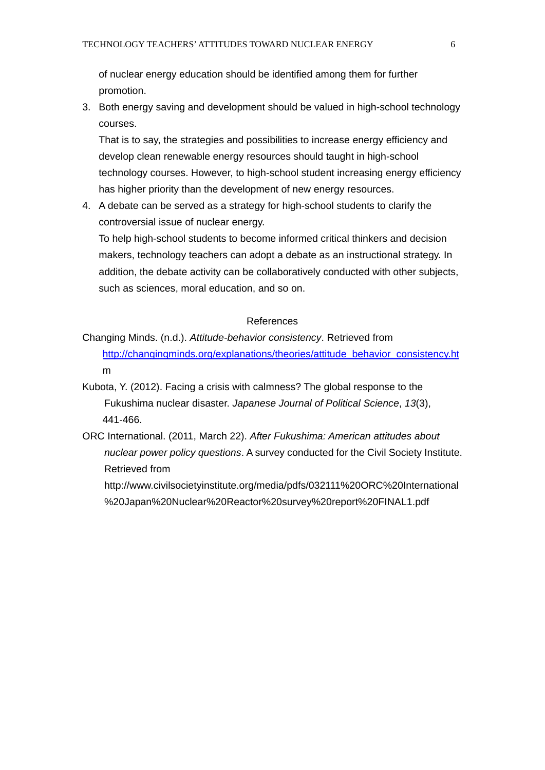of nuclear energy education should be identified among them for further promotion.

3. Both energy saving and development should be valued in high-school technology courses.

That is to say, the strategies and possibilities to increase energy efficiency and develop clean renewable energy resources should taught in high-school technology courses. However, to high-school student increasing energy efficiency has higher priority than the development of new energy resources.

4. A debate can be served as a strategy for high-school students to clarify the controversial issue of nuclear energy.

To help high-school students to become informed critical thinkers and decision makers, technology teachers can adopt a debate as an instructional strategy. In addition, the debate activity can be collaboratively conducted with other subjects, such as sciences, moral education, and so on.

#### References

Changing Minds. (n.d.). *Attitude-behavior consistency*. Retrieved from http://changingminds.org/explanations/theories/attitude\_behavior\_consistency.ht m

- Kubota, Y. (2012). Facing a crisis with calmness? The global response to the Fukushima nuclear disaster. *Japanese Journal of Political Science*, *13*(3), 441-466.
- ORC International. (2011, March 22). *After Fukushima: American attitudes about nuclear power policy questions*. A survey conducted for the Civil Society Institute. Retrieved from

http://www.civilsocietyinstitute.org/media/pdfs/032111%20ORC%20International %20Japan%20Nuclear%20Reactor%20survey%20report%20FINAL1.pdf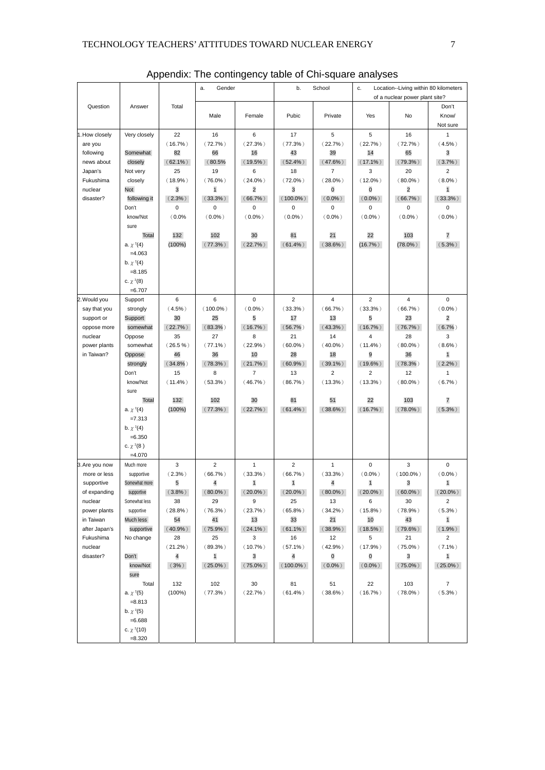|                                |                             |                  | Gender<br>a.               |                                       | b.<br>School     |                         | Location--Living within 80 kilometers<br>c. |                   |                            |
|--------------------------------|-----------------------------|------------------|----------------------------|---------------------------------------|------------------|-------------------------|---------------------------------------------|-------------------|----------------------------|
|                                |                             |                  |                            |                                       |                  |                         | of a nuclear power plant site?              |                   |                            |
| Question                       | Answer                      | Total            |                            |                                       |                  |                         |                                             |                   | Don't                      |
|                                |                             |                  | Male                       | Female                                | Pubic            | Private                 | Yes                                         | No                | Know/                      |
|                                |                             |                  |                            |                                       |                  |                         |                                             |                   | Not sure                   |
| 1. How closely                 | Very closely                | 22               | 16                         | 6                                     | 17               | 5                       | 5                                           | 16                | $\mathbf{1}$               |
| are you                        |                             | $(16.7\%)$       | (72.7%                     | $(27.3\%)$                            | $(77.3\%)$       | (22.7%)                 | (22.7%)                                     | (72.7%            | $(4.5\%)$                  |
| following                      | Somewhat                    | 82               | 66                         | 16                                    | 43               | 39                      | 14                                          | 65                | 3                          |
| news about                     | closely                     | $(62.1\%)$       | (80.5%                     | $(19.5\%)$                            | $(52.4\%)$       | $(47.6\%)$              | $(17.1\%)$                                  | $(79.3\%)$        | $(3.7\%)$                  |
| Japan's                        | Not very                    | 25               | 19                         | 6                                     | 18               | $\overline{7}$          | 3                                           | 20                | $\overline{c}$             |
| Fukushima<br>nuclear           | closely<br>Not              | $(18.9\%)$<br>3  | $(76.0\%)$                 | $(24.0\%)$<br>$\overline{\mathbf{c}}$ | $(72.0\%)$<br>3  | $(28.0\%)$<br>0         | $(12.0\%)$<br>0                             | $(80.0\%)$<br>2   | $(8.0\%)$                  |
| disaster?                      | following it                | $(2.3\%)$        | $\mathbf{1}$<br>$(33.3\%)$ | $(66.7\%)$                            | $(100.0\%)$      | $(0.0\%)$               | $(0.0\%)$                                   | $(66.7\%)$        | $\mathbf{1}$<br>$(33.3\%)$ |
|                                | Don't                       | 0                | 0                          | 0                                     | 0                | 0                       | 0                                           | 0                 | 0                          |
|                                | know/Not                    | (0.0%            | $(0.0\%)$                  | $(0.0\%)$                             | $(0.0\%)$        | $(0.0\%)$               | $(0.0\%)$                                   | $(0.0\%)$         | $(0.0\%)$                  |
|                                | sure                        |                  |                            |                                       |                  |                         |                                             |                   |                            |
|                                | <b>Total</b>                | 132              | 102                        | 30                                    | 81               | 21                      | 22                                          | 103               | 7                          |
|                                | a. $\chi^2(4)$              | $(100\%)$        | $(77.3\%)$                 | $(22.7\%)$                            | $(61.4\%)$       | $(38.6\%)$              | $(16.7\%)$                                  | $(78.0\%)$        | $(5.3\%)$                  |
|                                | $=4.063$                    |                  |                            |                                       |                  |                         |                                             |                   |                            |
|                                | b. $\chi^2(4)$              |                  |                            |                                       |                  |                         |                                             |                   |                            |
|                                | $= 8.185$                   |                  |                            |                                       |                  |                         |                                             |                   |                            |
|                                | c. $\chi^2(8)$              |                  |                            |                                       |                  |                         |                                             |                   |                            |
|                                | $= 6.707$                   |                  |                            |                                       |                  |                         |                                             |                   |                            |
| 2. Would you                   | Support                     | 6                | 6                          | 0                                     | 2                | 4                       | $\overline{2}$                              | 4                 | 0                          |
| say that you                   | strongly                    | $(4.5\%)$        | $(100.0\%)$                | $(0.0\%)$                             | (33.3%)          | $(66.7\%)$              | (33.3%)                                     | $(66.7\%)$        | $(0.0\%)$                  |
| support or                     | Support                     | 30               | 25<br>$(83.3\%)$           | 5                                     | 17               | 13<br>$(43.3\%)$        | 5<br>$(16.7\%)$                             | 23                | $\overline{c}$             |
| oppose more<br>nuclear         | somewhat<br>Oppose          | $(22.7\%)$<br>35 | 27                         | $(16.7\%)$<br>8                       | $(56.7\%)$<br>21 | 14                      | $\overline{4}$                              | $(76.7\%)$<br>28  | (6.7%)<br>3                |
| power plants                   | somewhat                    | $(26.5\%)$       | $(77.1\%)$                 | (22.9% )                              | $(60.0\%)$       | $(40.0\%)$              | $(11.4\%)$                                  | $(80.0\%)$        | $(8.6\%)$                  |
| in Taiwan?                     | Oppose                      | 46               | 36                         | 10                                    | 28               | 18                      | 9                                           | 36                | $\mathbf{1}$               |
|                                | strongly                    | $(34.8\%)$       | $(78.3\%)$                 | $(21.7\%)$                            | $(60.9\%)$       | $(39.1\%)$              | $(19.6\%)$                                  | $(78.3\%)$        | $(2.2\%)$                  |
|                                | Don't                       | 15               | 8                          | 7                                     | 13               | 2                       | $\overline{c}$                              | 12                | $\mathbf{1}$               |
|                                | know/Not                    | $(11.4\%)$       | $(53.3\%)$                 | (46.7%                                | $(86.7\%)$       | $(13.3\%)$              | $(13.3\%)$                                  | $(80.0\%)$        | $(6.7\%)$                  |
|                                | sure                        |                  |                            |                                       |                  |                         |                                             |                   |                            |
|                                | Total                       | 132              | 102                        | 30                                    | 81               | 51                      | 22                                          | 103               | 7                          |
|                                | a. $\chi^2(4)$              | $(100\%)$        | $(77.3\%)$                 | $(22.7\%)$                            | $(61.4\%)$       | $(38.6\%)$              | $(16.7\%)$                                  | $(78.0\%)$        | $(5.3\%)$                  |
|                                | $=7.313$                    |                  |                            |                                       |                  |                         |                                             |                   |                            |
|                                | b. $\chi^2(4)$              |                  |                            |                                       |                  |                         |                                             |                   |                            |
|                                | $= 6.350$                   |                  |                            |                                       |                  |                         |                                             |                   |                            |
|                                | c. $\chi^2(8)$              |                  |                            |                                       |                  |                         |                                             |                   |                            |
|                                | $=4.070$                    |                  |                            |                                       |                  |                         |                                             |                   |                            |
| 3. Are you now<br>more or less | Much more<br>supportive     | 3<br>$(2.3\%)$   | 2<br>$(66.7\%)$            | 1<br>(33.3%)                          | 2<br>$(66.7\%)$  | $\mathbf{1}$<br>(33.3%) | 0<br>$(0.0\%)$                              | 3<br>$(100.0\%)$  | 0<br>$(0.0\%)$             |
| supportive                     | Somewhat more               | 5                | 4                          | $\mathbf{1}$                          | $\mathbf{1}$     | 4                       | 1                                           | 3                 | $\mathbf{1}$               |
| of expanding                   | supportive                  | $(3.8\%)$        | $(80.0\%)$                 | $(20.0\%)$                            | $(20.0\%)$       | $(80.0\%)$              | $(20.0\%)$                                  | $(60.0\%)$        | $(20.0\%)$                 |
| nuclear                        | Somewhat less               | 38               | 29                         | 9                                     | 25               | 13                      | 6                                           | 30                | $\overline{a}$             |
| power plants                   | supportive                  | $(28.8\%)$       | $(76.3\%)$                 | $(23.7\%)$                            | $(65.8\%)$       | $(34.2\%)$              | $(15.8\%)$                                  | $(78.9\%)$        | $(5.3\%)$                  |
| in Taiwan                      | Much less                   | 54               | 41                         | 13                                    | 33               | 21                      | 10                                          | 43                | $\mathbf{1}$               |
| after Japan's                  | supportive                  | $(40.9\%)$       | $(75.9\%)$                 | $(24.1\%)$                            | $(61.1\%)$       | $(38.9\%)$              | $(18.5\%)$                                  | $(79.6\%)$        | $(1.9\%)$                  |
| Fukushima                      | No change                   | 28               | 25                         | 3                                     | 16               | 12                      | 5                                           | 21                | $\overline{2}$             |
| nuclear                        |                             | $(21.2\%)$       | $(89.3\%)$                 | $(10.7\%)$                            | $(57.1\%)$       | $(42.9\%)$              | $(17.9\%)$                                  | $(75.0\%)$        | $(7.1\%)$                  |
| disaster?                      | Don't                       | 4                | $\mathbf{1}$               | 3                                     | 4                | 0                       | 0                                           | 3                 | $\mathbf{1}$               |
|                                | know/Not                    | (3%)             | $(25.0\%)$                 | $(75.0\%)$                            | $(100.0\%)$      | $(0.0\%)$               | $(0.0\%)$                                   | $(75.0\%)$        | $(25.0\%)$                 |
|                                | sure                        |                  |                            |                                       |                  |                         |                                             |                   |                            |
|                                | Total                       | 132<br>(100%)    | 102<br>$(77.3\%)$          | 30<br>$(22.7\%)$                      | 81<br>$(61.4\%)$ | 51<br>$(38.6\%)$        | 22<br>$(16.7\%)$                            | 103<br>$(78.0\%)$ | 7<br>$(5.3\%)$             |
|                                | a. $\chi^2(5)$<br>$= 8.813$ |                  |                            |                                       |                  |                         |                                             |                   |                            |
|                                | b. $\chi^2(5)$              |                  |                            |                                       |                  |                         |                                             |                   |                            |
|                                | $= 6.688$                   |                  |                            |                                       |                  |                         |                                             |                   |                            |
|                                | c. $\chi^2(10)$             |                  |                            |                                       |                  |                         |                                             |                   |                            |
|                                | $= 8.320$                   |                  |                            |                                       |                  |                         |                                             |                   |                            |

Appendix: The contingency table of Chi-square analyses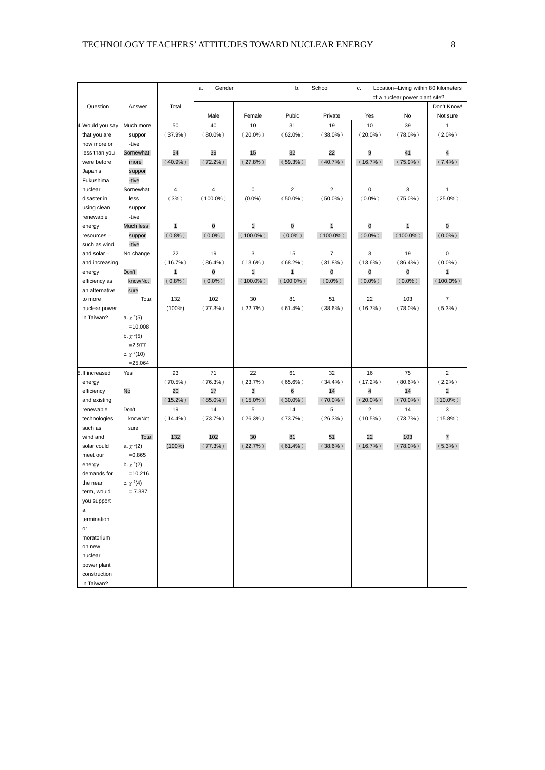|                         |                 |                            | a.<br>Gender    |                            | b.                         | School                            | Location--Living within 80 kilometers<br>c.<br>of a nuclear power plant site? |                 |                         |
|-------------------------|-----------------|----------------------------|-----------------|----------------------------|----------------------------|-----------------------------------|-------------------------------------------------------------------------------|-----------------|-------------------------|
| Question                | Answer          | Total                      |                 |                            |                            |                                   |                                                                               |                 | Don't Know/             |
|                         |                 |                            | Male            | Female                     | Pubic                      | Private                           | Yes                                                                           | No              | Not sure                |
| 4. Would you say        | Much more       | 50                         | 40              | 10                         | 31                         | 19                                | 10                                                                            | 39              | 1                       |
| that you are            | suppor          | (37.9%)                    | $(80.0\%)$      | $(20.0\%)$                 | $(62.0\%)$                 | $(38.0\%)$                        | $(20.0\%)$                                                                    | $(78.0\%)$      | $(2.0\%)$               |
| now more or             | -tive           |                            |                 |                            |                            |                                   |                                                                               |                 |                         |
| less than you           | Somewhat        | 54                         | 39              | 15                         | 32                         | 22                                | 9                                                                             | 41              | 4                       |
| were before             | more            | $(40.9\%)$                 | $(72.2\%)$      | $(27.8\%)$                 | $(59.3\%)$                 | $(40.7\%)$                        | $(16.7\%)$                                                                    | $(75.9\%)$      | $(7.4\%)$               |
| Japan's                 | suppor          |                            |                 |                            |                            |                                   |                                                                               |                 |                         |
| Fukushima               | -tive           |                            |                 |                            |                            |                                   |                                                                               |                 |                         |
| nuclear                 | Somewhat        | $\sqrt{4}$                 | 4               | 0                          | $\overline{\mathbf{c}}$    | $\overline{c}$                    | 0                                                                             | 3               | 1                       |
| disaster in             | less            | (3%)                       | $(100.0\%)$     | $(0.0\%)$                  | $(50.0\%)$                 | $(50.0\%)$                        | $(0.0\%)$                                                                     | $(75.0\%)$      | $(25.0\%)$              |
| using clean             | suppor          |                            |                 |                            |                            |                                   |                                                                               |                 |                         |
| renewable               | -tive           |                            |                 |                            |                            |                                   |                                                                               |                 |                         |
| energy                  | Much less       | $\mathbf{1}$               | 0               | $\mathbf{1}$               | $\overline{0}$             | $\mathbf{1}$                      | 0                                                                             | $\mathbf{1}$    | 0                       |
| resources-              | suppor          | $(0.8\%)$                  | $(0.0\%)$       | $(100.0\%)$                | $(0.0\%)$                  | $(100.0\%)$                       | $(0.0\%)$                                                                     | $(100.0\%)$     | $(0.0\%)$               |
| such as wind            | -tive           |                            |                 |                            |                            |                                   |                                                                               |                 |                         |
| and solar $-$           | No change       | 22                         | 19              | 3                          | 15                         | 7                                 | 3                                                                             | 19              | 0<br>$(0.0\%)$          |
| and increasing          | Don't           | $(16.7\%)$<br>$\mathbf{1}$ | $(86.4\%)$<br>0 | $(13.6\%)$<br>$\mathbf{1}$ | $(68.2\%)$<br>$\mathbf{1}$ | $(31.8\%)$<br>$\mathsf{O}\xspace$ | $(13.6\%)$<br>O                                                               | $(86.4\%)$<br>0 | $\mathbf{1}$            |
| energy<br>efficiency as | know/Not        | $(0.8\%)$                  | $(0.0\%)$       | $(100.0\%)$                | $(100.0\%)$                | $(0.0\%)$                         | $(0.0\%)$                                                                     | $(0.0\%)$       | $(100.0\%)$             |
| an alternative          | sure            |                            |                 |                            |                            |                                   |                                                                               |                 |                         |
| to more                 | Total           | 132                        | 102             | 30                         | 81                         | 51                                | 22                                                                            | 103             | $\overline{7}$          |
| nuclear power           |                 | (100%)                     | $(77.3\%)$      | (22.7%                     | $(61.4\%)$                 | $(38.6\%)$                        | $(16.7\%)$                                                                    | $(78.0\%)$      | $(5.3\%)$               |
| in Taiwan?              | a. $\chi^2(5)$  |                            |                 |                            |                            |                                   |                                                                               |                 |                         |
|                         | $=10.008$       |                            |                 |                            |                            |                                   |                                                                               |                 |                         |
|                         | b. $\chi^2(5)$  |                            |                 |                            |                            |                                   |                                                                               |                 |                         |
|                         | $=2.977$        |                            |                 |                            |                            |                                   |                                                                               |                 |                         |
|                         | c. $\chi^2(10)$ |                            |                 |                            |                            |                                   |                                                                               |                 |                         |
|                         | $= 25.064$      |                            |                 |                            |                            |                                   |                                                                               |                 |                         |
| 5. If increased         | Yes             | 93                         | 71              | 22                         | 61                         | 32                                | 16                                                                            | 75              | $\overline{2}$          |
| energy                  |                 | $(70.5\%)$                 | $(76.3\%)$      | (23.7%)                    | $(65.6\%)$                 | (34.4%)                           | $(17.2\%)$                                                                    | $(80.6\%)$      | $(2.2\%)$               |
| efficiency              | No              | 20                         | 17              | 3                          | 6                          | 14                                | 4                                                                             | 14              | $\overline{\mathbf{c}}$ |
| and existing            |                 | $(15.2\%)$                 | $(85.0\%)$      | $(15.0\%)$                 | $(30.0\%)$                 | $(70.0\%)$                        | $(20.0\%)$                                                                    | $(70.0\%)$      | $(10.0\%)$              |
| renewable               | Don't           | 19                         | 14              | 5                          | 14                         | 5                                 | $\overline{2}$                                                                | 14              | 3                       |
| technologies            | know/Not        | $(14.4\%)$                 | (73.7%)         | $(26.3\%)$                 | (73.7%)                    | $(26.3\%)$                        | $(10.5\%)$                                                                    | (73.7%)         | $(15.8\%)$              |
| such as                 | sure            |                            |                 |                            |                            |                                   |                                                                               |                 |                         |
| wind and                | Total           | 132                        | 102             | 30                         | 81                         | 51                                | 22                                                                            | 103             | 7                       |
| solar could             | a. $\chi^2(2)$  | (100%)                     | $(77.3\%)$      | $(22.7\%)$                 | $(61.4\%)$                 | $(38.6\%)$                        | $(16.7\%)$                                                                    | $(78.0\%)$      | $(5.3\%)$               |
| meet our                | $=0.865$        |                            |                 |                            |                            |                                   |                                                                               |                 |                         |
| energy                  | b. $\chi^2(2)$  |                            |                 |                            |                            |                                   |                                                                               |                 |                         |
| demands for             | $=10.216$       |                            |                 |                            |                            |                                   |                                                                               |                 |                         |
| the near                | c. $\chi^2(4)$  |                            |                 |                            |                            |                                   |                                                                               |                 |                         |
| term, would             | 7.387           |                            |                 |                            |                            |                                   |                                                                               |                 |                         |
| you support             |                 |                            |                 |                            |                            |                                   |                                                                               |                 |                         |
| a<br>termination        |                 |                            |                 |                            |                            |                                   |                                                                               |                 |                         |
| or                      |                 |                            |                 |                            |                            |                                   |                                                                               |                 |                         |
| moratorium              |                 |                            |                 |                            |                            |                                   |                                                                               |                 |                         |
| on new                  |                 |                            |                 |                            |                            |                                   |                                                                               |                 |                         |
| nuclear                 |                 |                            |                 |                            |                            |                                   |                                                                               |                 |                         |
| power plant             |                 |                            |                 |                            |                            |                                   |                                                                               |                 |                         |
| construction            |                 |                            |                 |                            |                            |                                   |                                                                               |                 |                         |
| in Taiwan?              |                 |                            |                 |                            |                            |                                   |                                                                               |                 |                         |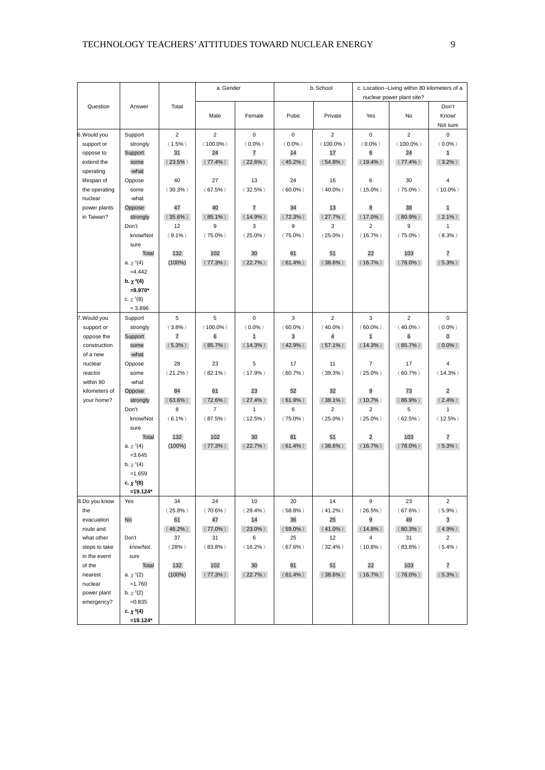|                               |                             |                 | a. Gender         |                 | b. School       |                   | c. Location--Living within 80 kilometers of a<br>nuclear power plant site? |                   |                |
|-------------------------------|-----------------------------|-----------------|-------------------|-----------------|-----------------|-------------------|----------------------------------------------------------------------------|-------------------|----------------|
| Question                      | Answer                      | Total           |                   |                 |                 |                   |                                                                            |                   | Don't          |
|                               |                             |                 | Male              | Female          | Pubic           | Private           | Yes                                                                        | No                | Know/          |
|                               |                             |                 |                   |                 |                 |                   |                                                                            |                   | Not sure       |
| 6. Would you                  | Support                     | $\overline{2}$  | $\overline{2}$    | 0               | 0               | 2                 | 0                                                                          | $\overline{2}$    | $\mathbf 0$    |
| support or                    | strongly<br>Support         | $(1.5\%)$<br>31 | $(100.0\%)$<br>24 | $(0.0\%)$<br>7  | $(0.0\%)$<br>14 | $(100.0\%)$<br>17 | $(0.0\%)$<br>6                                                             | $(100.0\%)$<br>24 | $(0.0\%)$      |
| oppose to<br>extend the       | some                        | $(23.5\%)$      | $(77.4\%)$        | $(22.6\%)$      | $(45.2\%)$      | $(54.8\%)$        | $(19.4\%)$                                                                 | $(77.4\%)$        | 1<br>$(3.2\%)$ |
| operating                     | -what                       |                 |                   |                 |                 |                   |                                                                            |                   |                |
| lifespan of                   | Oppose                      | 40              | 27                | 13              | 24              | 16                | 6                                                                          | 30                | 4              |
| the operating                 | some                        | $(30.3\%)$      | $(67.5\%)$        | $(32.5\%)$      | $(60.0\%)$      | $(40.0\%)$        | $(15.0\%)$                                                                 | $(75.0\%)$        | $(10.0\%)$     |
| nuclear                       | -what                       |                 |                   |                 |                 |                   |                                                                            |                   |                |
| power plants                  | Oppose                      | 47              | 40                | 7               | 34              | 13                | 8                                                                          | 38                | $\mathbf{1}$   |
| in Taiwan?                    | strongly                    | $(35.6\%)$      | $(85.1\%)$        | $(14.9\%)$      | $(72.3\%)$      | $(27.7\%)$        | $(17.0\%)$                                                                 | $(80.9\%)$        | $(2.1\%)$      |
|                               | Don't                       | 12              | 9                 | 3               | 9               | 3                 | 2                                                                          | 9                 | 1              |
|                               | know/Not                    | $(9.1\%)$       | $(75.0\%)$        | $(25.0\%)$      | $(75.0\%)$      | $(25.0\%)$        | $(16.7\%)$                                                                 | $(75.0\%)$        | $(8.3\%)$      |
|                               | sure                        |                 |                   |                 |                 |                   |                                                                            |                   |                |
|                               | Total                       | 132             | 102               | 30              | 81              | 51                | 22                                                                         | 103               | 7              |
|                               | a. $\chi^2(4)$              | $(100\%)$       | $(77.3\%)$        | $(22.7\%)$      | $(61.4\%)$      | $(38.6\%)$        | $(16.7\%)$                                                                 | $(78.0\%)$        | $(5.3\%)$      |
|                               | $=4.442$                    |                 |                   |                 |                 |                   |                                                                            |                   |                |
|                               | b. $\chi^2(4)$<br>$=9.970*$ |                 |                   |                 |                 |                   |                                                                            |                   |                |
|                               | c. $\chi^2(8)$              |                 |                   |                 |                 |                   |                                                                            |                   |                |
|                               | $= 3.896$                   |                 |                   |                 |                 |                   |                                                                            |                   |                |
| 7. Would you                  | Support                     | 5               | 5                 | 0               | 3               | $\overline{2}$    | 3                                                                          | $\overline{2}$    | 0              |
| support or                    | strongly                    | (3.8%)          | $(100.0\%)$       | $(0.0\%)$       | $(60.0\%)$      | $(40.0\%)$        | $(60.0\%)$                                                                 | $(40.0\%)$        | $(0.0\%)$      |
| oppose the                    | Support                     | 7               | 6                 | $\mathbf{1}$    | 3               | 4                 | $\mathbf{1}$                                                               | 6                 | 0              |
| construction                  | some                        | $(5.3\%)$       | $(85.7\%)$        | $(14.3\%)$      | $(42.9\%)$      | $(57.1\%)$        | $(14.3\%)$                                                                 | $(85.7\%)$        | $(0.0\%)$      |
| of a new                      | -what                       |                 |                   |                 |                 |                   |                                                                            |                   |                |
| nuclear                       | Oppose                      | 28              | 23                | 5               | 17              | 11                | 7                                                                          | 17                | 4              |
| reactor                       | some                        | $(21.2\%)$      | $(82.1\%)$        | $(17.9\%)$      | $(60.7\%)$      | $(39.3\%)$        | $(25.0\%)$                                                                 | $(60.7\%)$        | $(14.3\%)$     |
| within 80                     | -what                       |                 |                   |                 |                 |                   |                                                                            |                   |                |
| kilometers of                 | Oppose                      | 84              | 61                | 23              | 52              | 32                | 9                                                                          | 73                | $\overline{2}$ |
| your home?                    | strongly                    | $(63.6\%)$      | $(72.6\%)$        | $(27.4\%)$      | $(61.9\%)$      | $(38.1\%)$        | $(10.7\%)$                                                                 | $(86.9\%)$        | $(2.4\%)$      |
|                               | Don't                       | 8               | 7                 | 1               | 6               | $\overline{2}$    | $\overline{2}$                                                             | 5                 | $\mathbf{1}$   |
|                               | know/Not<br>sure            | $(6.1\%)$       | $(87.5\%)$        | $(12.5\%)$      | $(75.0\%)$      | $(25.0\%)$        | $(25.0\%)$                                                                 | $(62.5\%)$        | $(12.5\%)$     |
|                               | <b>Total</b>                | 132             | 102               | 30              | 81              | 51                | $\overline{2}$                                                             | 103               | 7              |
|                               | a. $\chi^2(4)$              | $(100\%)$       | $(77.3\%)$        | (22.7%)         | $(61.4\%)$      | $(38.6\%)$        | $(16.7\%)$                                                                 | $(78.0\%)$        | $(5.3\%)$      |
|                               | $=3.645$                    |                 |                   |                 |                 |                   |                                                                            |                   |                |
|                               | b. $\chi^2(4)$              |                 |                   |                 |                 |                   |                                                                            |                   |                |
|                               | $=1.659$                    |                 |                   |                 |                 |                   |                                                                            |                   |                |
|                               | c. $\chi^2(8)$              |                 |                   |                 |                 |                   |                                                                            |                   |                |
|                               | =19.124                     |                 |                   |                 |                 |                   |                                                                            |                   |                |
| 8.Do you know                 | Yes                         | 34              | 24                | 10              | 20              | 14                | 9                                                                          | 23                | $\overline{2}$ |
| the                           |                             | $(25.8\%)$      | $(70.6\%)$        | $(29.4\%)$      | $(58.8\%)$      | $(41.2\%)$        | $(26.5\%)$                                                                 | $(67.6\%)$        | (5.9%)         |
| evacuation                    | No                          | 61              | 47                | 14              | 36              | 25                | 9                                                                          | 49                | 3              |
| route and<br>what other       | Don't                       | $(46.2\%)$      | $(77.0\%)$        | $(23.0\%)$      | $(59.0\%)$      | $(41.0\%)$<br>12  | $(14.8\%)$<br>4                                                            | $(80.3\%)$        | $(4.9\%)$<br>2 |
|                               | know/Not                    | 37              | 31                | 6<br>$(16.2\%)$ | 25              |                   |                                                                            | 31                |                |
| steps to take<br>in the event | sure                        | (28%)           | $(83.8\%)$        |                 | $(67.6\%)$      | $(32.4\%)$        | $(10.8\%)$                                                                 | $(83.8\%)$        | $(5.4\%)$      |
| of the                        | Total                       | 132             | 102               | 30              | 81              | 51                | 22                                                                         | 103               | 7              |
| nearest                       | a. $\chi^2(2)$              | (100%)          | $(77.3\%)$        | $(22.7\%)$      | $(61.4\%)$      | $(38.6\%)$        | $(16.7\%)$                                                                 | $(78.0\%)$        | $(5.3\%)$      |
| nuclear                       | $=1.760$                    |                 |                   |                 |                 |                   |                                                                            |                   |                |
| power plant                   | b. $\chi^2(2)$              |                 |                   |                 |                 |                   |                                                                            |                   |                |
| emergency?                    | $=0.835$                    |                 |                   |                 |                 |                   |                                                                            |                   |                |
|                               | c. $\chi^2(4)$              |                 |                   |                 |                 |                   |                                                                            |                   |                |
|                               | $=19.124*$                  |                 |                   |                 |                 |                   |                                                                            |                   |                |